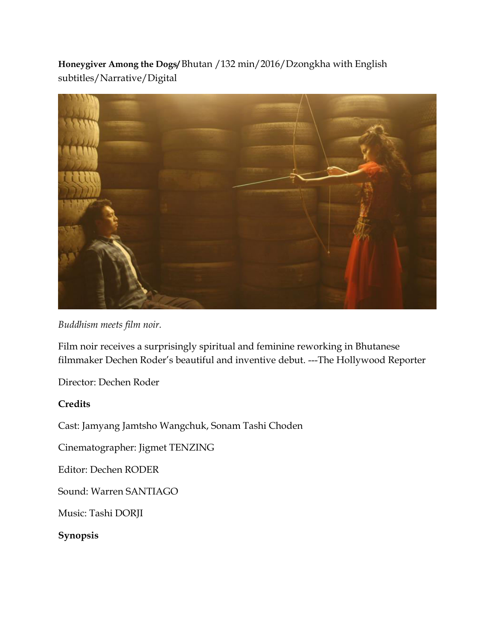**Honeygiver Among the Dogs/** Bhutan /132 min/2016/Dzongkha with English subtitles/Narrative/Digital



*Buddhism meets film noir.* 

Film noir receives a surprisingly spiritual and feminine reworking in Bhutanese filmmaker Dechen Roder's beautiful and inventive debut. ---The Hollywood Reporter

Director: Dechen Roder

## **Credits**

Cast: Jamyang Jamtsho Wangchuk, Sonam Tashi Choden

Cinematographer: Jigmet TENZING

Editor: Dechen RODER

Sound: Warren SANTIAGO

Music: Tashi DORJI

**Synopsis**